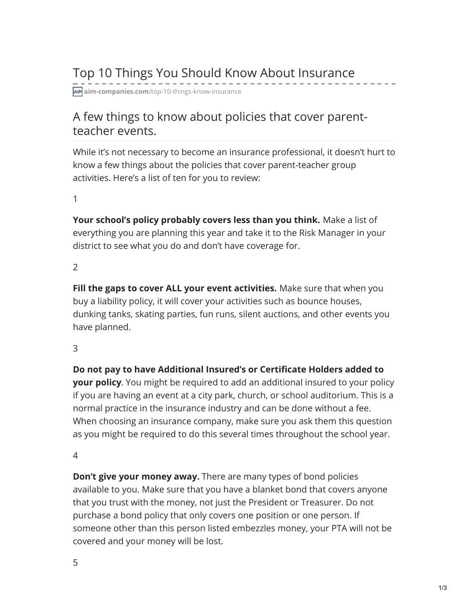# Top 10 Things You Should Know About Insurance

**aim-companies.com**[/top-10-things-know-insurance](https://www.aim-companies.com/top-10-things-know-insurance/)

# A few things to know about policies that cover parentteacher events.

While it's not necessary to become an insurance professional, it doesn't hurt to know a few things about the policies that cover parent-teacher group activities. Here's a list of ten for you to review:

1

**Your school's policy probably covers less than you think.** Make a list of everything you are planning this year and take it to the Risk Manager in your district to see what you do and don't have coverage for.

2

**Fill the gaps to cover ALL your event activities.** Make sure that when you buy a liability policy, it will cover your activities such as bounce houses, dunking tanks, skating parties, fun runs, silent auctions, and other events you have planned.

3

**Do not pay to have Additional Insured's or Certificate Holders added to your policy**. You might be required to add an additional insured to your policy if you are having an event at a city park, church, or school auditorium. This is a normal practice in the insurance industry and can be done without a fee. When choosing an insurance company, make sure you ask them this question as you might be required to do this several times throughout the school year.

4

**Don't give your money away.** There are many types of bond policies available to you. Make sure that you have a blanket bond that covers anyone that you trust with the money, not just the President or Treasurer. Do not purchase a bond policy that only covers one position or one person. If someone other than this person listed embezzles money, your PTA will not be covered and your money will be lost.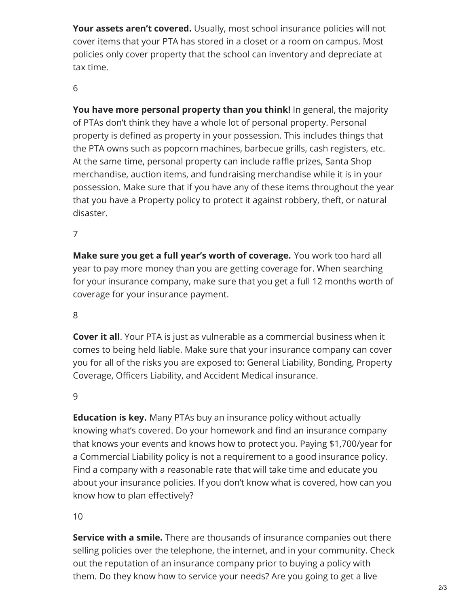**Your assets aren't covered.** Usually, most school insurance policies will not cover items that your PTA has stored in a closet or a room on campus. Most policies only cover property that the school can inventory and depreciate at tax time.

# 6

**You have more personal property than you think!** In general, the majority of PTAs don't think they have a whole lot of personal property. Personal property is defined as property in your possession. This includes things that the PTA owns such as popcorn machines, barbecue grills, cash registers, etc. At the same time, personal property can include raffle prizes, Santa Shop merchandise, auction items, and fundraising merchandise while it is in your possession. Make sure that if you have any of these items throughout the year that you have a Property policy to protect it against robbery, theft, or natural disaster.

# 7

**Make sure you get a full year's worth of coverage.** You work too hard all year to pay more money than you are getting coverage for. When searching for your insurance company, make sure that you get a full 12 months worth of coverage for your insurance payment.

## 8

**Cover it all**. Your PTA is just as vulnerable as a commercial business when it comes to being held liable. Make sure that your insurance company can cover you for all of the risks you are exposed to: General Liability, Bonding, Property Coverage, Officers Liability, and Accident Medical insurance.

## 9

**Education is key.** Many PTAs buy an insurance policy without actually knowing what's covered. Do your homework and find an insurance company that knows your events and knows how to protect you. Paying \$1,700/year for a Commercial Liability policy is not a requirement to a good insurance policy. Find a company with a reasonable rate that will take time and educate you about your insurance policies. If you don't know what is covered, how can you know how to plan effectively?

## 10

**Service with a smile.** There are thousands of insurance companies out there selling policies over the telephone, the internet, and in your community. Check out the reputation of an insurance company prior to buying a policy with them. Do they know how to service your needs? Are you going to get a live